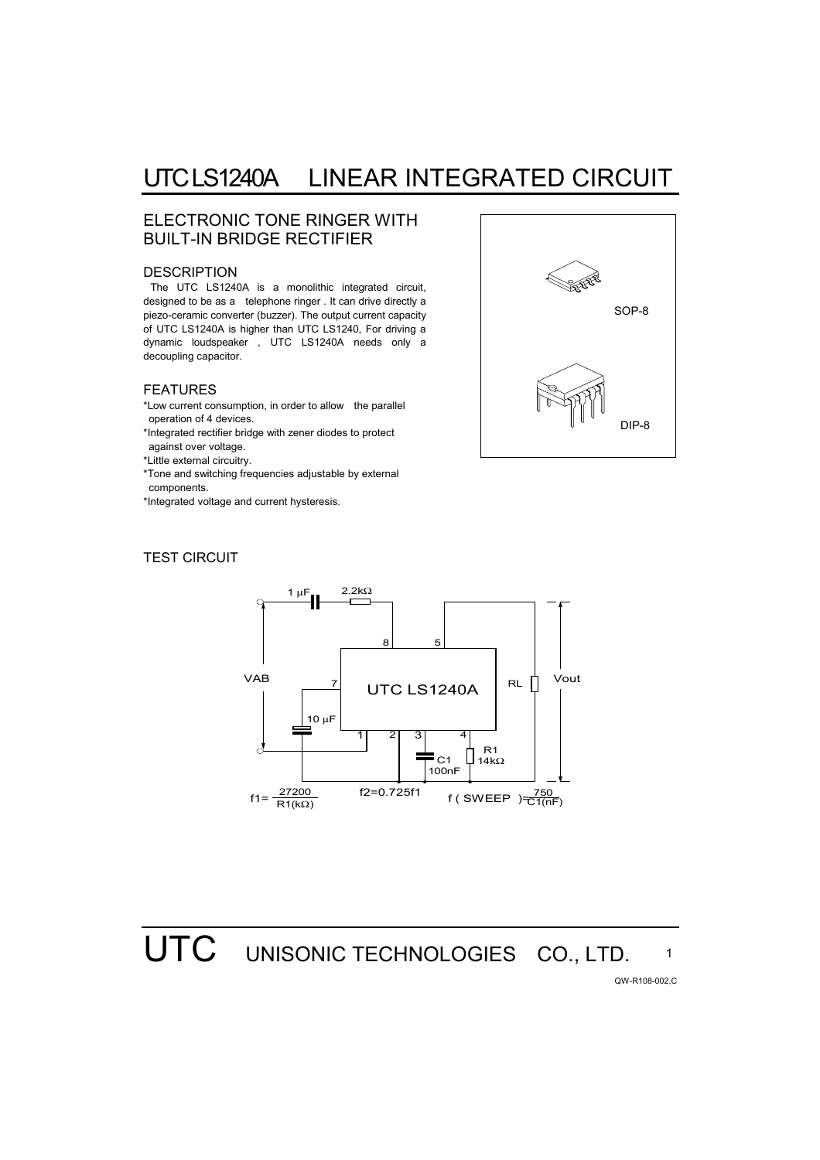### UTC LS1240A LINEAR INTEGRATED CIRCUIT

### ELECTRONIC TONE RINGER WITH BUILT-IN BRIDGE RECTIFIER

#### **DESCRIPTION**

The UTC LS1240A is a monolithic integrated circuit, designed to be as a telephone ringer . It can drive directly a piezo-ceramic converter (buzzer). The output current capacity of UTC LS1240A is higher than UTC LS1240, For driving a dynamic loudspeaker , UTC LS1240A needs only a decoupling capacitor.

#### FEATURES

- \*Low current consumption, in order to allow the parallel operation of 4 devices.
- \*Integrated rectifier bridge with zener diodes to protect against over voltage.
- \*Little external circuitry.
- \*Tone and switching frequencies adjustable by external components.
- \*Integrated voltage and current hysteresis.

### TEST CIRCUIT





# UTC UNISONIC TECHNOLOGIES CO., LTD.

QW-R108-002,C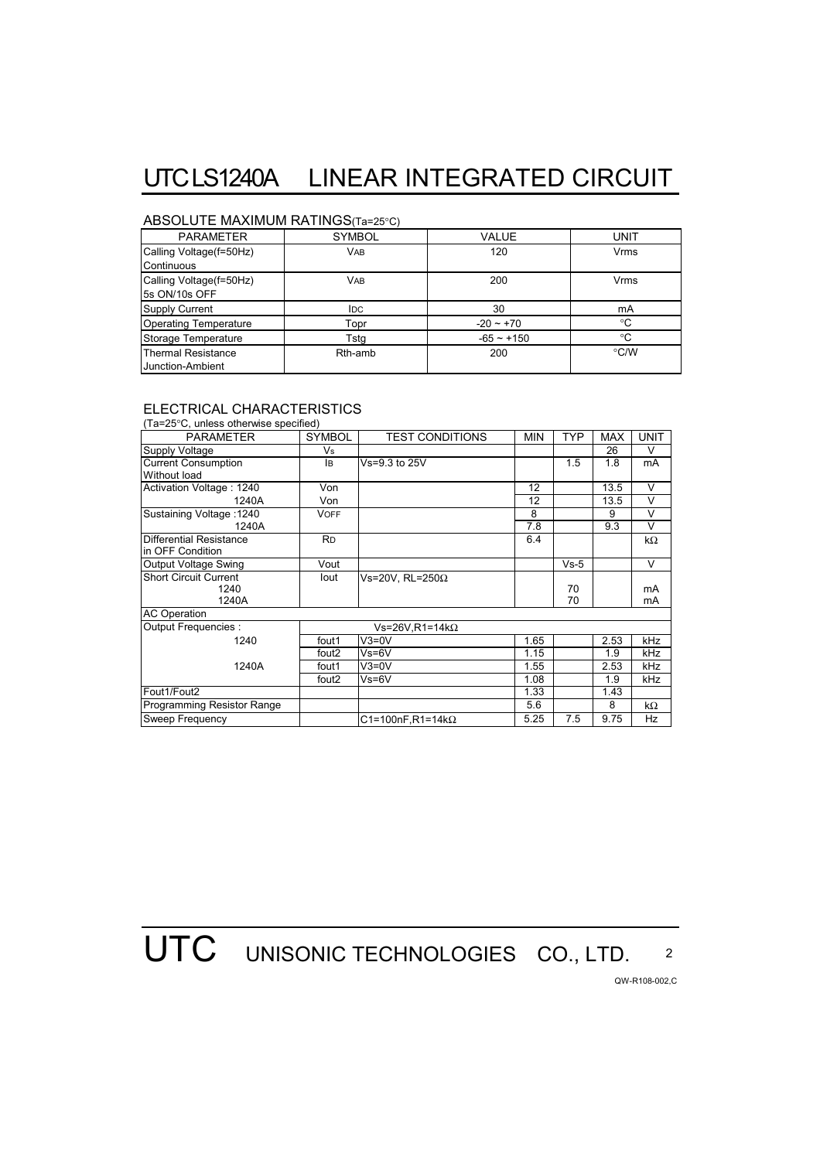# UTC LS1240A LINEAR INTEGRATED CIRCUIT

### ABSOLUTE MAXIMUM RATINGS(Ta=25°C)

| <b>PARAMETER</b>             | <b>SYMBOL</b> | VALUE        | <b>UNIT</b>        |  |
|------------------------------|---------------|--------------|--------------------|--|
| Calling Voltage(f=50Hz)      | <b>VAB</b>    | 120          | <b>Vrms</b>        |  |
| Continuous                   |               |              |                    |  |
| Calling Voltage(f=50Hz)      | <b>VAB</b>    | 200          | Vrms               |  |
| 5s ON/10s OFF                |               |              |                    |  |
| <b>Supply Current</b>        | <b>IDC</b>    | 30           | mA                 |  |
| <b>Operating Temperature</b> | Topr          | $-20 - +70$  | $^{\circ}C$        |  |
| Storage Temperature          | Tsta          | $-65 - +150$ | $^{\circ}C$        |  |
| <b>Thermal Resistance</b>    | Rth-amb       | 200          | $\rm ^{\circ}$ C/W |  |
| Junction-Ambient             |               |              |                    |  |

### ELECTRICAL CHARACTERISTICS

| (Ta=25°C, unless otherwise specified) |                        |                          |            |            |            |             |
|---------------------------------------|------------------------|--------------------------|------------|------------|------------|-------------|
| <b>PARAMETER</b>                      | <b>SYMBOL</b>          | <b>TEST CONDITIONS</b>   | <b>MIN</b> | <b>TYP</b> | <b>MAX</b> | <b>UNIT</b> |
| Supply Voltage                        | Vs                     |                          |            |            | 26         | V           |
| <b>Current Consumption</b>            | lB.                    | Vs=9.3 to 25V            |            | 1.5        | 1.8        | mA          |
| Without load                          |                        |                          |            |            |            |             |
| Activation Voltage: 1240              | Von                    |                          | 12         |            | 13.5       | $\vee$      |
| 1240A                                 | Von                    |                          | 12         |            | 13.5       | V           |
| Sustaining Voltage: 1240              | <b>VOFF</b>            |                          | 8          |            | 9          | $\vee$      |
| 1240A                                 |                        |                          | 7.8        |            | 9.3        | $\vee$      |
| <b>Differential Resistance</b>        | <b>RD</b>              |                          | 6.4        |            |            | kΩ          |
| in OFF Condition                      |                        |                          |            |            |            |             |
| <b>Output Voltage Swing</b>           | Vout                   |                          |            | $Vs-5$     |            | V           |
| <b>Short Circuit Current</b>          | lout                   | Vs=20V. RL=250 $\Omega$  |            |            |            |             |
| 1240                                  |                        |                          |            | 70         |            | mA          |
| 1240A                                 |                        |                          |            | 70         |            | mA          |
| <b>AC Operation</b>                   |                        |                          |            |            |            |             |
| Output Frequencies :                  | Vs=26V.R1=14k $\Omega$ |                          |            |            |            |             |
| 1240                                  | fout1                  | $V3=0V$                  | 1.65       |            | 2.53       | kHz         |
|                                       | fout <sub>2</sub>      | $Vs=6V$                  | 1.15       |            | 1.9        | kHz         |
| 1240A                                 | fout1                  | $V3=0V$                  | 1.55       |            | 2.53       | kHz         |
|                                       | fout <sub>2</sub>      | $Vs=6V$                  | 1.08       |            | 1.9        | kHz         |
| Fout1/Fout2                           |                        |                          | 1.33       |            | 1.43       |             |
| Programming Resistor Range            |                        |                          | 5.6        |            | 8          | kΩ          |
| Sweep Frequency                       |                        | C1=100nF,R1=14k $\Omega$ | 5.25       | 7.5        | 9.75       | Hz          |

**UTC** UNISONIC TECHNOLOGIES CO., LTD. 2

QW-R108-002,C